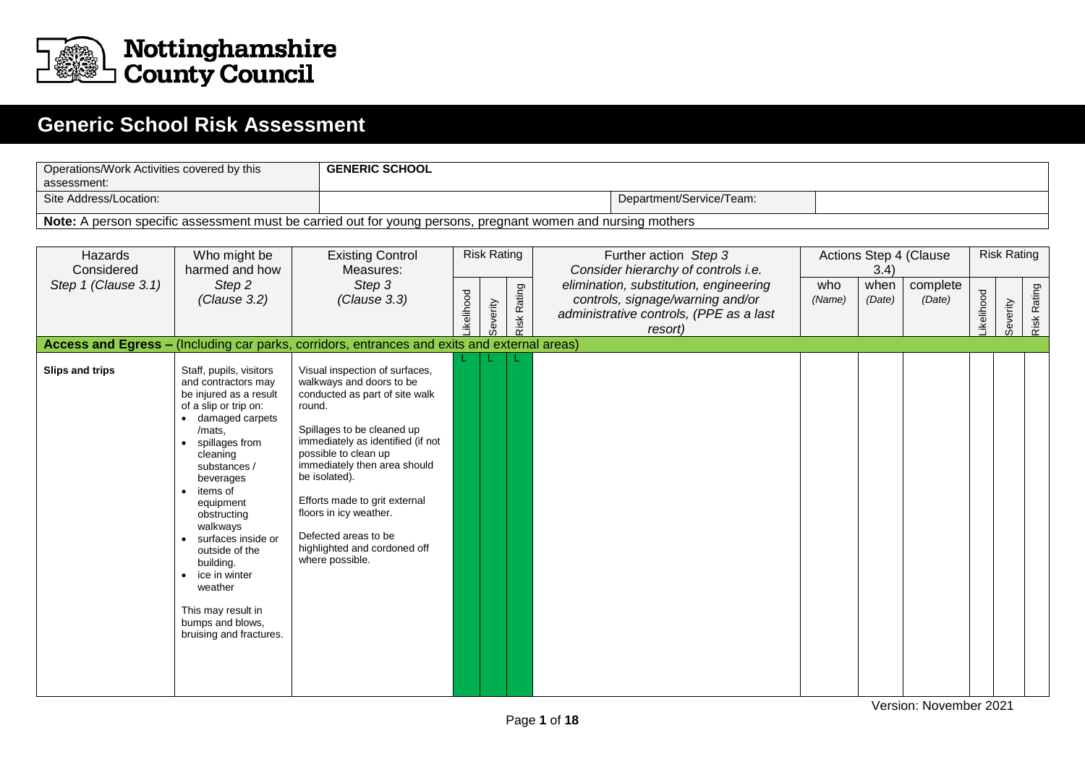

## B **Generic School Risk Assessment**

| assessment:            | <b>GENERIC SCHOOL</b><br>Operations/Work Activities covered by this                                                                                                                                                                                                                                                                                                                                                        |                                                                                                                                                                                                                                                                                                                                                                                          |           |                    |             |                                                                                                                                  |               |                |                        |           |                    |             |
|------------------------|----------------------------------------------------------------------------------------------------------------------------------------------------------------------------------------------------------------------------------------------------------------------------------------------------------------------------------------------------------------------------------------------------------------------------|------------------------------------------------------------------------------------------------------------------------------------------------------------------------------------------------------------------------------------------------------------------------------------------------------------------------------------------------------------------------------------------|-----------|--------------------|-------------|----------------------------------------------------------------------------------------------------------------------------------|---------------|----------------|------------------------|-----------|--------------------|-------------|
| Site Address/Location: |                                                                                                                                                                                                                                                                                                                                                                                                                            |                                                                                                                                                                                                                                                                                                                                                                                          |           |                    |             | Department/Service/Team:                                                                                                         |               |                |                        |           |                    |             |
|                        |                                                                                                                                                                                                                                                                                                                                                                                                                            |                                                                                                                                                                                                                                                                                                                                                                                          |           |                    |             | Note: A person specific assessment must be carried out for young persons, pregnant women and nursing mothers                     |               |                |                        |           |                    |             |
|                        |                                                                                                                                                                                                                                                                                                                                                                                                                            |                                                                                                                                                                                                                                                                                                                                                                                          |           |                    |             |                                                                                                                                  |               |                |                        |           |                    |             |
| Hazards<br>Considered  | Who might be<br>harmed and how                                                                                                                                                                                                                                                                                                                                                                                             | <b>Existing Control</b><br>Measures:                                                                                                                                                                                                                                                                                                                                                     |           | <b>Risk Rating</b> |             | Further action Step 3<br>Consider hierarchy of controls i.e.                                                                     |               | 3.4)           | Actions Step 4 (Clause |           | <b>Risk Rating</b> |             |
| Step 1 (Clause 3.1)    | Step 2<br>(Clause 3.2)                                                                                                                                                                                                                                                                                                                                                                                                     | Step 3<br>(Clause 3.3)                                                                                                                                                                                                                                                                                                                                                                   | ikelihood | Severity           | Risk Rating | elimination, substitution, engineering<br>controls, signage/warning and/or<br>administrative controls, (PPE as a last<br>resort) | who<br>(Name) | when<br>(Date) | complete<br>(Date)     | ikelihood | Severity           | Risk Rating |
|                        |                                                                                                                                                                                                                                                                                                                                                                                                                            | Access and Egress - (Including car parks, corridors, entrances and exits and external areas)                                                                                                                                                                                                                                                                                             |           |                    |             |                                                                                                                                  |               |                |                        |           |                    |             |
| Slips and trips        | Staff, pupils, visitors<br>and contractors may<br>be injured as a result<br>of a slip or trip on:<br>damaged carpets<br>/mats,<br>spillages from<br>cleaning<br>substances /<br>beverages<br>items of<br>$\bullet$<br>equipment<br>obstructing<br>walkways<br>surfaces inside or<br>outside of the<br>building.<br>$\bullet$ ice in winter<br>weather<br>This may result in<br>bumps and blows.<br>bruising and fractures. | Visual inspection of surfaces,<br>walkways and doors to be<br>conducted as part of site walk<br>round.<br>Spillages to be cleaned up<br>immediately as identified (if not<br>possible to clean up<br>immediately then area should<br>be isolated).<br>Efforts made to grit external<br>floors in icy weather.<br>Defected areas to be<br>highlighted and cordoned off<br>where possible. |           |                    |             |                                                                                                                                  |               |                |                        |           |                    |             |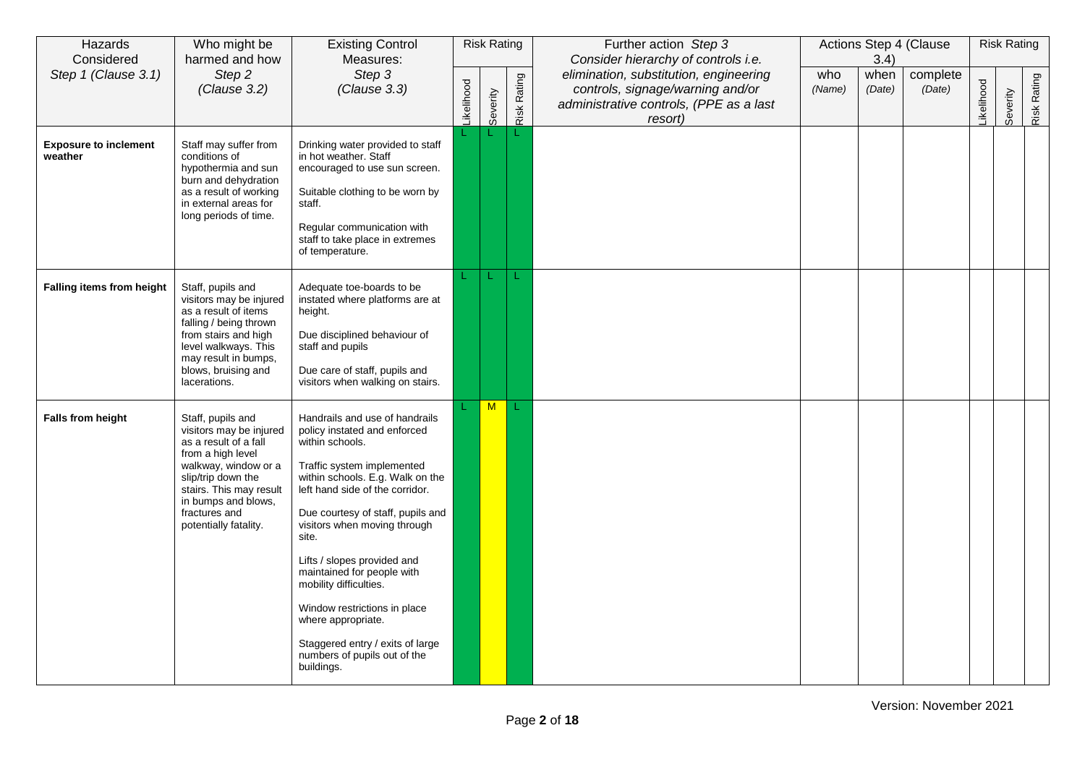| Hazards<br>Considered                   | Who might be<br>harmed and how                                                                                                                                                                                                       | <b>Existing Control</b><br>Measures:                                                                                                                                                                                                                                                                                                                                                                                                                                                                |            | <b>Risk Rating</b> |             | Further action Step 3<br>Consider hierarchy of controls i.e.                                                                     |               | 3.4)           | Actions Step 4 (Clause |           | <b>Risk Rating</b> |             |
|-----------------------------------------|--------------------------------------------------------------------------------------------------------------------------------------------------------------------------------------------------------------------------------------|-----------------------------------------------------------------------------------------------------------------------------------------------------------------------------------------------------------------------------------------------------------------------------------------------------------------------------------------------------------------------------------------------------------------------------------------------------------------------------------------------------|------------|--------------------|-------------|----------------------------------------------------------------------------------------------------------------------------------|---------------|----------------|------------------------|-----------|--------------------|-------------|
| Step 1 (Clause 3.1)                     | Step 2<br>(Clause 3.2)                                                                                                                                                                                                               | Step 3<br>(Clause 3.3)                                                                                                                                                                                                                                                                                                                                                                                                                                                                              | Likelihood | Severity           | Risk Rating | elimination, substitution, engineering<br>controls, signage/warning and/or<br>administrative controls, (PPE as a last<br>resort) | who<br>(Name) | when<br>(Date) | complete<br>(Date)     | ikelihood | Severity           | Risk Rating |
| <b>Exposure to inclement</b><br>weather | Staff may suffer from<br>conditions of<br>hypothermia and sun<br>burn and dehydration<br>as a result of working<br>in external areas for<br>long periods of time.                                                                    | Drinking water provided to staff<br>in hot weather. Staff<br>encouraged to use sun screen.<br>Suitable clothing to be worn by<br>staff.<br>Regular communication with<br>staff to take place in extremes<br>of temperature.                                                                                                                                                                                                                                                                         |            |                    |             |                                                                                                                                  |               |                |                        |           |                    |             |
| Falling items from height               | Staff, pupils and<br>visitors may be injured<br>as a result of items<br>falling / being thrown<br>from stairs and high<br>level walkways. This<br>may result in bumps,<br>blows, bruising and<br>lacerations.                        | Adequate toe-boards to be<br>instated where platforms are at<br>height.<br>Due disciplined behaviour of<br>staff and pupils<br>Due care of staff, pupils and<br>visitors when walking on stairs.                                                                                                                                                                                                                                                                                                    |            |                    | L.          |                                                                                                                                  |               |                |                        |           |                    |             |
| <b>Falls from height</b>                | Staff, pupils and<br>visitors may be injured<br>as a result of a fall<br>from a high level<br>walkway, window or a<br>slip/trip down the<br>stairs. This may result<br>in bumps and blows,<br>fractures and<br>potentially fatality. | Handrails and use of handrails<br>policy instated and enforced<br>within schools.<br>Traffic system implemented<br>within schools. E.g. Walk on the<br>left hand side of the corridor.<br>Due courtesy of staff, pupils and<br>visitors when moving through<br>site.<br>Lifts / slopes provided and<br>maintained for people with<br>mobility difficulties.<br>Window restrictions in place<br>where appropriate.<br>Staggered entry / exits of large<br>numbers of pupils out of the<br>buildings. |            | M                  |             |                                                                                                                                  |               |                |                        |           |                    |             |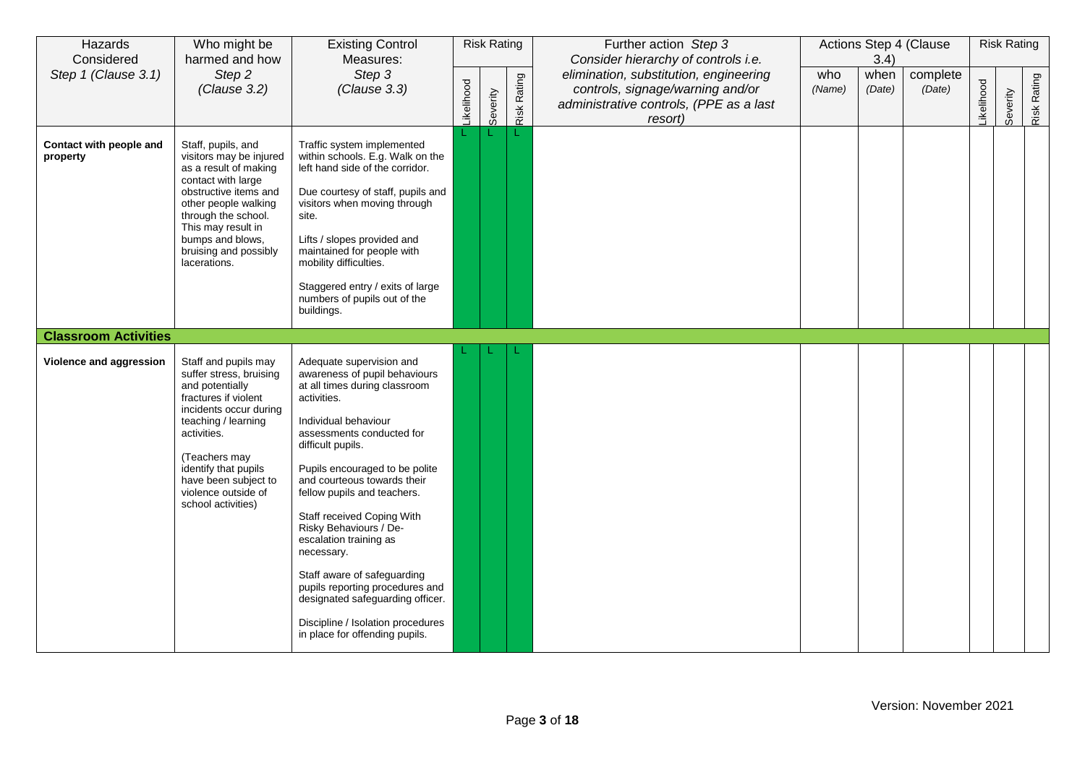| Hazards<br>Considered               | Who might be<br>harmed and how                                                                                                                                                                                                                                           | <b>Existing Control</b><br>Measures:                                                                                                                                                                                                                                                                                                                                                                                                                                                                                                                             |            | <b>Risk Rating</b> |             | Further action Step 3<br>Consider hierarchy of controls i.e.                                                                     |               | 3.4)           | Actions Step 4 (Clause |           | <b>Risk Rating</b> |             |
|-------------------------------------|--------------------------------------------------------------------------------------------------------------------------------------------------------------------------------------------------------------------------------------------------------------------------|------------------------------------------------------------------------------------------------------------------------------------------------------------------------------------------------------------------------------------------------------------------------------------------------------------------------------------------------------------------------------------------------------------------------------------------------------------------------------------------------------------------------------------------------------------------|------------|--------------------|-------------|----------------------------------------------------------------------------------------------------------------------------------|---------------|----------------|------------------------|-----------|--------------------|-------------|
| Step 1 (Clause 3.1)                 | Step 2<br>(Clause 3.2)                                                                                                                                                                                                                                                   | Step 3<br>(Clause 3.3)                                                                                                                                                                                                                                                                                                                                                                                                                                                                                                                                           | Likelihood | Severity           | Risk Rating | elimination, substitution, engineering<br>controls, signage/warning and/or<br>administrative controls, (PPE as a last<br>resort) | who<br>(Name) | when<br>(Date) | complete<br>(Date)     | ikelihood | Severity           | Risk Rating |
| Contact with people and<br>property | Staff, pupils, and<br>visitors may be injured<br>as a result of making<br>contact with large<br>obstructive items and<br>other people walking<br>through the school.<br>This may result in<br>bumps and blows,<br>bruising and possibly<br>lacerations.                  | Traffic system implemented<br>within schools. E.g. Walk on the<br>left hand side of the corridor.<br>Due courtesy of staff, pupils and<br>visitors when moving through<br>site.<br>Lifts / slopes provided and<br>maintained for people with<br>mobility difficulties.<br>Staggered entry / exits of large<br>numbers of pupils out of the<br>buildings.                                                                                                                                                                                                         |            |                    |             |                                                                                                                                  |               |                |                        |           |                    |             |
| <b>Classroom Activities</b>         |                                                                                                                                                                                                                                                                          |                                                                                                                                                                                                                                                                                                                                                                                                                                                                                                                                                                  |            |                    |             |                                                                                                                                  |               |                |                        |           |                    |             |
| Violence and aggression             | Staff and pupils may<br>suffer stress, bruising<br>and potentially<br>fractures if violent<br>incidents occur during<br>teaching / learning<br>activities.<br>(Teachers may<br>identify that pupils<br>have been subject to<br>violence outside of<br>school activities) | Adequate supervision and<br>awareness of pupil behaviours<br>at all times during classroom<br>activities.<br>Individual behaviour<br>assessments conducted for<br>difficult pupils.<br>Pupils encouraged to be polite<br>and courteous towards their<br>fellow pupils and teachers.<br>Staff received Coping With<br>Risky Behaviours / De-<br>escalation training as<br>necessary.<br>Staff aware of safeguarding<br>pupils reporting procedures and<br>designated safeguarding officer.<br>Discipline / Isolation procedures<br>in place for offending pupils. |            |                    |             |                                                                                                                                  |               |                |                        |           |                    |             |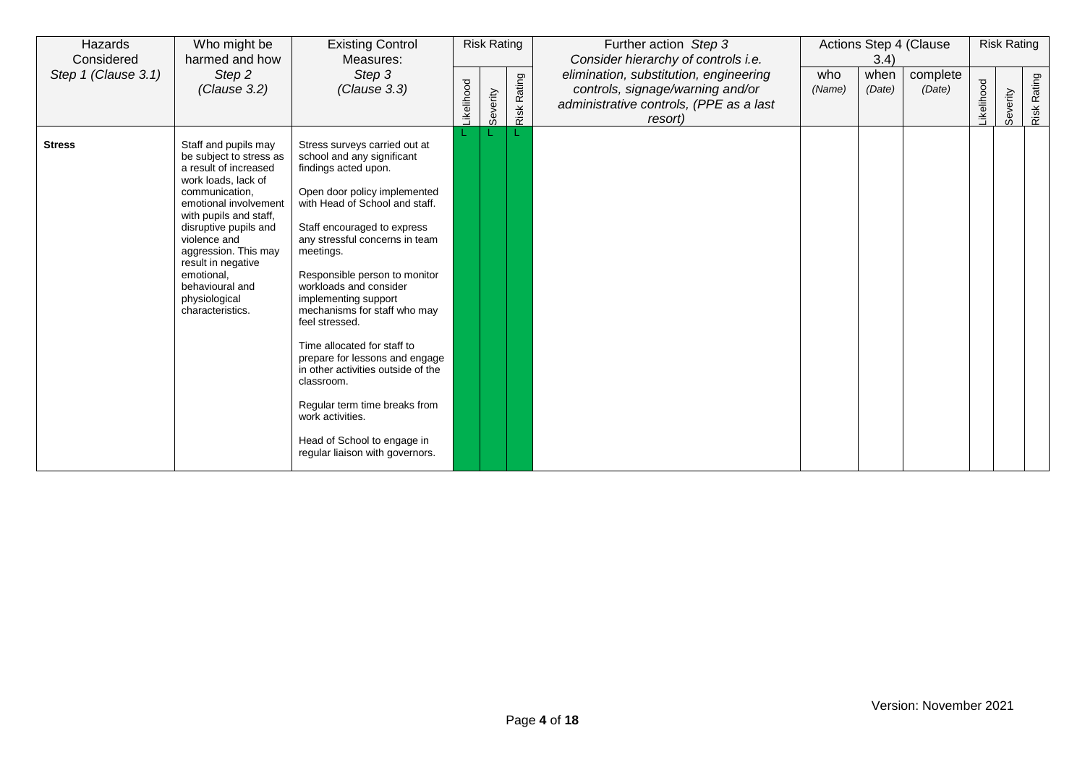| Hazards<br>Considered | Who might be<br>harmed and how                                                                                                                                                                                                                                                                                                    | <b>Existing Control</b><br>Measures:                                                                                                                                                                                                                                                                                                                                                                                                                                                                                                                                                                                 |                  | <b>Risk Rating</b> |             | Further action Step 3<br>Consider hierarchy of controls i.e.                                                                     |               | 3.4)           | Actions Step 4 (Clause |           | <b>Risk Rating</b> |                |
|-----------------------|-----------------------------------------------------------------------------------------------------------------------------------------------------------------------------------------------------------------------------------------------------------------------------------------------------------------------------------|----------------------------------------------------------------------------------------------------------------------------------------------------------------------------------------------------------------------------------------------------------------------------------------------------------------------------------------------------------------------------------------------------------------------------------------------------------------------------------------------------------------------------------------------------------------------------------------------------------------------|------------------|--------------------|-------------|----------------------------------------------------------------------------------------------------------------------------------|---------------|----------------|------------------------|-----------|--------------------|----------------|
| Step 1 (Clause 3.1)   | Step 2<br>(Clause 3.2)                                                                                                                                                                                                                                                                                                            | Step 3<br>(Clause 3.3)                                                                                                                                                                                                                                                                                                                                                                                                                                                                                                                                                                                               | <b>ikelihood</b> | Severity           | Risk Rating | elimination, substitution, engineering<br>controls, signage/warning and/or<br>administrative controls, (PPE as a last<br>resort) | who<br>(Name) | when<br>(Date) | complete<br>(Date)     | ikelihood | Severity           | Rating<br>Risk |
| <b>Stress</b>         | Staff and pupils may<br>be subject to stress as<br>a result of increased<br>work loads, lack of<br>communication,<br>emotional involvement<br>with pupils and staff,<br>disruptive pupils and<br>violence and<br>aggression. This may<br>result in negative<br>emotional.<br>behavioural and<br>physiological<br>characteristics. | Stress surveys carried out at<br>school and any significant<br>findings acted upon.<br>Open door policy implemented<br>with Head of School and staff.<br>Staff encouraged to express<br>any stressful concerns in team<br>meetings.<br>Responsible person to monitor<br>workloads and consider<br>implementing support<br>mechanisms for staff who may<br>feel stressed.<br>Time allocated for staff to<br>prepare for lessons and engage<br>in other activities outside of the<br>classroom.<br>Regular term time breaks from<br>work activities.<br>Head of School to engage in<br>regular liaison with governors. |                  |                    |             |                                                                                                                                  |               |                |                        |           |                    |                |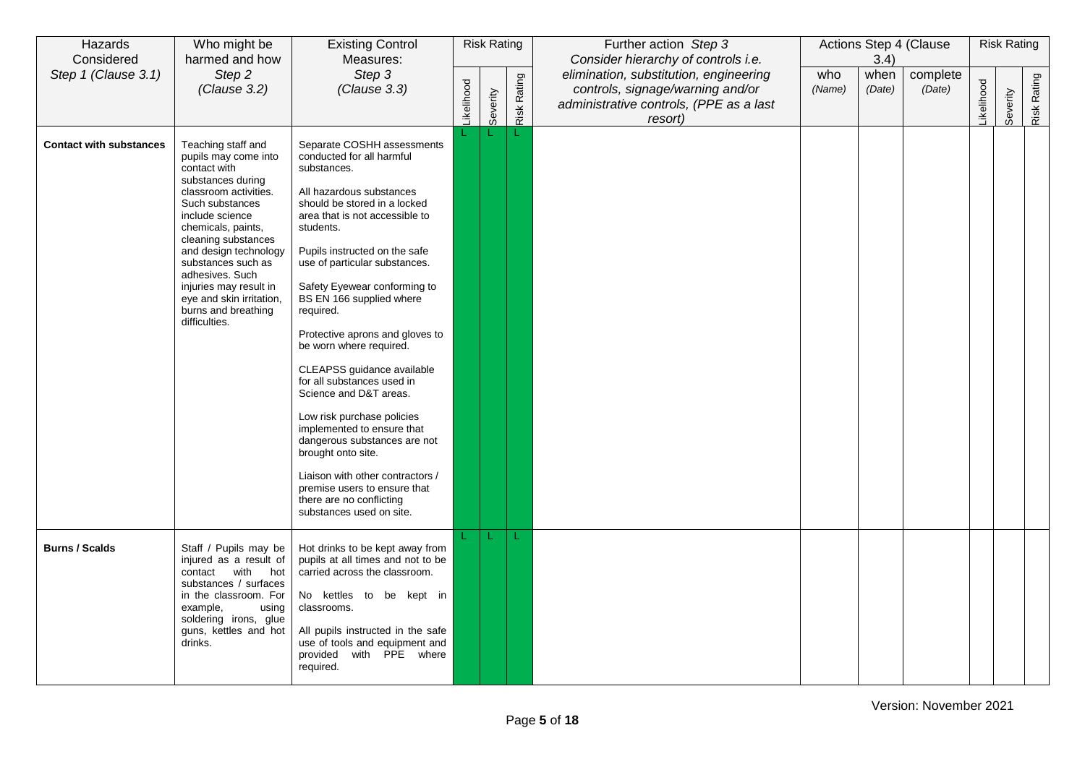| Hazards<br>Considered          | Who might be<br>harmed and how                                                                                                                                                                                                                                                                                                                              | <b>Existing Control</b><br>Measures:                                                                                                                                                                                                                                                                                                                                                                                                                                                                                                                                                                                                                                                                                           |                   | <b>Risk Rating</b> |                    | Further action Step 3<br>Consider hierarchy of controls i.e.                                                                     |               | 3.4)           | Actions Step 4 (Clause |           | <b>Risk Rating</b> |             |
|--------------------------------|-------------------------------------------------------------------------------------------------------------------------------------------------------------------------------------------------------------------------------------------------------------------------------------------------------------------------------------------------------------|--------------------------------------------------------------------------------------------------------------------------------------------------------------------------------------------------------------------------------------------------------------------------------------------------------------------------------------------------------------------------------------------------------------------------------------------------------------------------------------------------------------------------------------------------------------------------------------------------------------------------------------------------------------------------------------------------------------------------------|-------------------|--------------------|--------------------|----------------------------------------------------------------------------------------------------------------------------------|---------------|----------------|------------------------|-----------|--------------------|-------------|
| Step 1 (Clause 3.1)            | Step 2<br>(Clause 3.2)                                                                                                                                                                                                                                                                                                                                      | Step 3<br>(Clause 3.3)                                                                                                                                                                                                                                                                                                                                                                                                                                                                                                                                                                                                                                                                                                         | <b>Likelihood</b> | Severity           | <b>Risk Rating</b> | elimination, substitution, engineering<br>controls, signage/warning and/or<br>administrative controls, (PPE as a last<br>resort) | who<br>(Name) | when<br>(Date) | complete<br>(Date)     | ikelihood | Severity           | Risk Rating |
| <b>Contact with substances</b> | Teaching staff and<br>pupils may come into<br>contact with<br>substances during<br>classroom activities.<br>Such substances<br>include science<br>chemicals, paints,<br>cleaning substances<br>and design technology<br>substances such as<br>adhesives. Such<br>injuries may result in<br>eye and skin irritation,<br>burns and breathing<br>difficulties. | Separate COSHH assessments<br>conducted for all harmful<br>substances.<br>All hazardous substances<br>should be stored in a locked<br>area that is not accessible to<br>students.<br>Pupils instructed on the safe<br>use of particular substances.<br>Safety Eyewear conforming to<br>BS EN 166 supplied where<br>required.<br>Protective aprons and gloves to<br>be worn where required.<br>CLEAPSS guidance available<br>for all substances used in<br>Science and D&T areas.<br>Low risk purchase policies<br>implemented to ensure that<br>dangerous substances are not<br>brought onto site.<br>Liaison with other contractors /<br>premise users to ensure that<br>there are no conflicting<br>substances used on site. |                   |                    |                    |                                                                                                                                  |               |                |                        |           |                    |             |
| <b>Burns / Scalds</b>          | Staff / Pupils may be<br>injured as a result of<br>contact with<br>hot<br>substances / surfaces<br>in the classroom. For<br>example,<br>using<br>soldering irons, glue<br>guns, kettles and hot<br>drinks.                                                                                                                                                  | Hot drinks to be kept away from<br>pupils at all times and not to be<br>carried across the classroom.<br>No kettles to be kept in<br>classrooms.<br>All pupils instructed in the safe<br>use of tools and equipment and<br>provided with PPE where<br>required.                                                                                                                                                                                                                                                                                                                                                                                                                                                                |                   | L                  | ◆                  |                                                                                                                                  |               |                |                        |           |                    |             |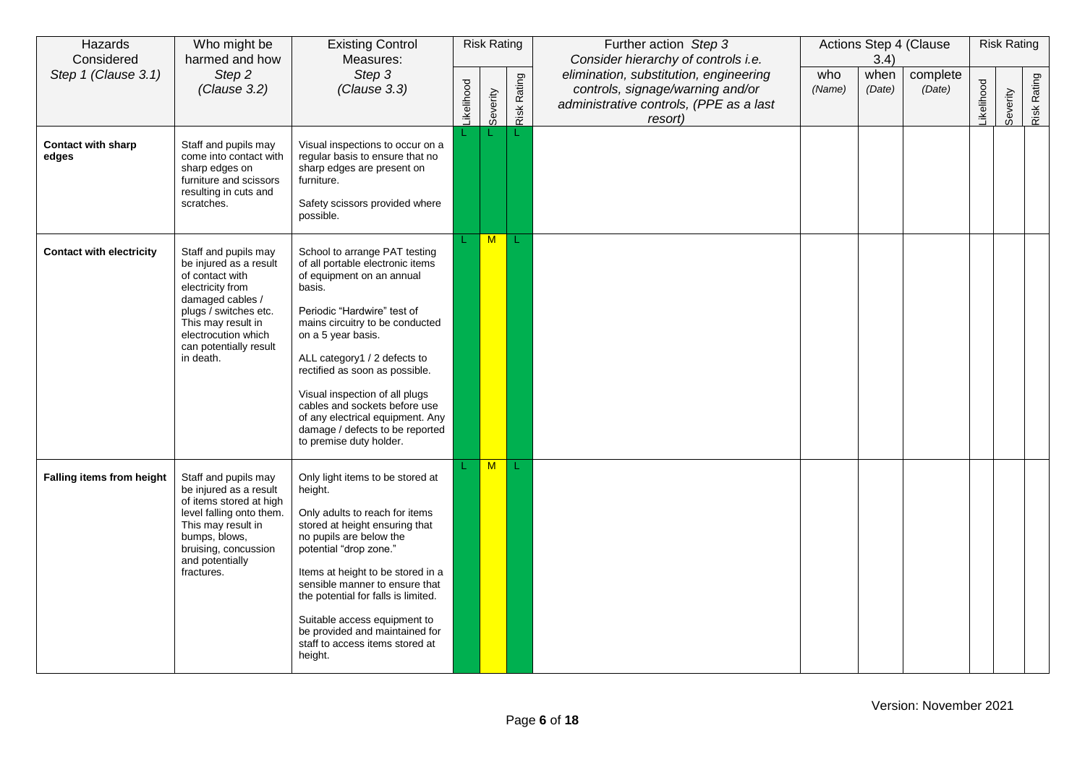| Hazards<br>Considered              | Who might be<br>harmed and how                                                                                                                                                                                         | <b>Existing Control</b><br>Measures:                                                                                                                                                                                                                                                                                                                                                                                                    |           | <b>Risk Rating</b> |             | Further action Step 3<br>Consider hierarchy of controls i.e.                                                                     |               | 3.4)           | Actions Step 4 (Clause |                  | <b>Risk Rating</b> |             |
|------------------------------------|------------------------------------------------------------------------------------------------------------------------------------------------------------------------------------------------------------------------|-----------------------------------------------------------------------------------------------------------------------------------------------------------------------------------------------------------------------------------------------------------------------------------------------------------------------------------------------------------------------------------------------------------------------------------------|-----------|--------------------|-------------|----------------------------------------------------------------------------------------------------------------------------------|---------------|----------------|------------------------|------------------|--------------------|-------------|
| Step 1 (Clause 3.1)                | Step 2<br>(Clause 3.2)                                                                                                                                                                                                 | Step 3<br>(Clause 3.3)                                                                                                                                                                                                                                                                                                                                                                                                                  | ikelihood | Severity           | Risk Rating | elimination, substitution, engineering<br>controls, signage/warning and/or<br>administrative controls, (PPE as a last<br>resort) | who<br>(Name) | when<br>(Date) | complete<br>(Date)     | <b>ikelihood</b> | Severity           | Risk Rating |
| <b>Contact with sharp</b><br>edges | Staff and pupils may<br>come into contact with<br>sharp edges on<br>furniture and scissors<br>resulting in cuts and<br>scratches.                                                                                      | Visual inspections to occur on a<br>regular basis to ensure that no<br>sharp edges are present on<br>furniture.<br>Safety scissors provided where<br>possible.                                                                                                                                                                                                                                                                          |           |                    |             |                                                                                                                                  |               |                |                        |                  |                    |             |
| <b>Contact with electricity</b>    | Staff and pupils may<br>be injured as a result<br>of contact with<br>electricity from<br>damaged cables /<br>plugs / switches etc.<br>This may result in<br>electrocution which<br>can potentially result<br>in death. | School to arrange PAT testing<br>of all portable electronic items<br>of equipment on an annual<br>basis.<br>Periodic "Hardwire" test of<br>mains circuitry to be conducted<br>on a 5 year basis.<br>ALL category1 / 2 defects to<br>rectified as soon as possible.<br>Visual inspection of all plugs<br>cables and sockets before use<br>of any electrical equipment. Any<br>damage / defects to be reported<br>to premise duty holder. |           | M                  |             |                                                                                                                                  |               |                |                        |                  |                    |             |
| Falling items from height          | Staff and pupils may<br>be injured as a result<br>of items stored at high<br>level falling onto them.<br>This may result in<br>bumps, blows,<br>bruising, concussion<br>and potentially<br>fractures.                  | Only light items to be stored at<br>height.<br>Only adults to reach for items<br>stored at height ensuring that<br>no pupils are below the<br>potential "drop zone."<br>Items at height to be stored in a<br>sensible manner to ensure that<br>the potential for falls is limited.<br>Suitable access equipment to<br>be provided and maintained for<br>staff to access items stored at<br>height.                                      |           | M                  |             |                                                                                                                                  |               |                |                        |                  |                    |             |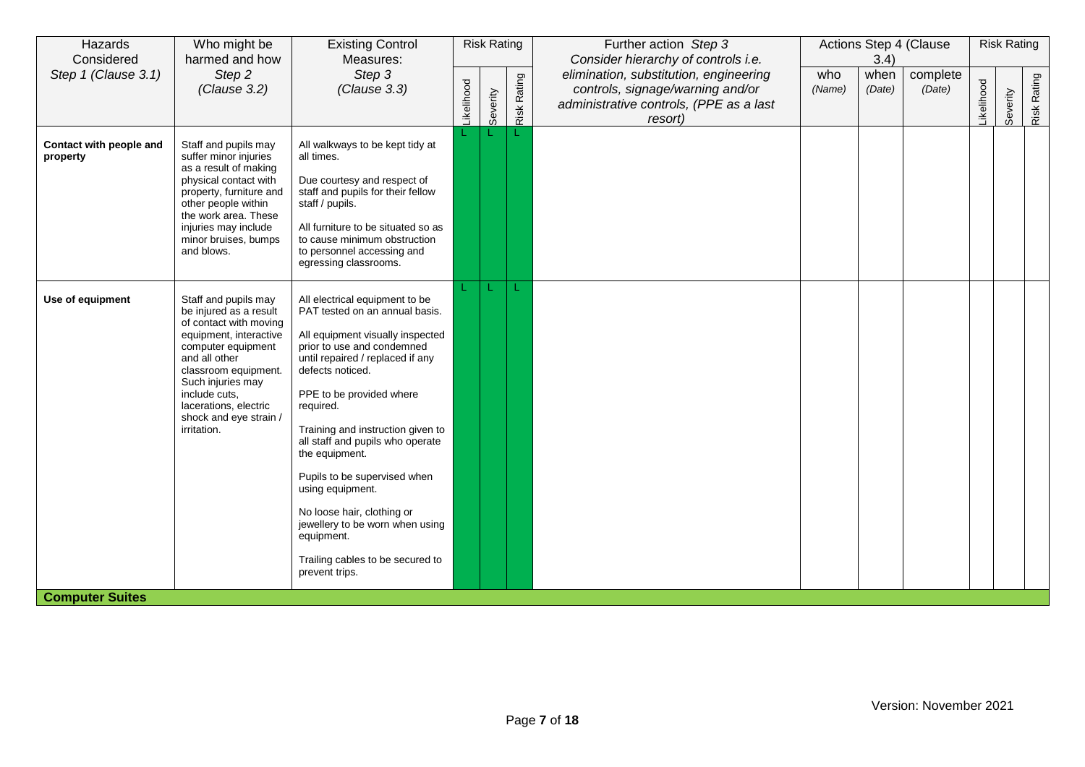| Step 2<br>Step 1 (Clause 3.1)<br>Step 3<br>elimination, substitution, engineering<br>who<br>complete<br>when<br>Risk Rating<br>Risk Rating<br><b>ikelihood</b><br>ikelihood<br>(Clause 3.2)<br>(Clause 3.3)<br>controls, signage/warning and/or<br>(Name)<br>(Date)<br>(Date)<br>Severity<br>Severity<br>administrative controls, (PPE as a last<br>resort)<br>L<br>Contact with people and<br>Staff and pupils may<br>All walkways to be kept tidy at<br>suffer minor injuries<br>all times.<br>property<br>as a result of making<br>physical contact with<br>Due courtesy and respect of<br>staff and pupils for their fellow<br>property, furniture and<br>other people within<br>staff / pupils.<br>the work area. These<br>All furniture to be situated so as<br>injuries may include<br>minor bruises, bumps<br>to cause minimum obstruction<br>and blows.<br>to personnel accessing and<br>egressing classrooms.<br>Use of equipment<br>Staff and pupils may<br>All electrical equipment to be<br>be injured as a result<br>PAT tested on an annual basis.<br>of contact with moving<br>equipment, interactive<br>All equipment visually inspected<br>prior to use and condemned<br>computer equipment<br>and all other<br>until repaired / replaced if any<br>defects noticed.<br>classroom equipment.<br>Such injuries may<br>PPE to be provided where<br>include cuts,<br>lacerations, electric<br>required.<br>shock and eye strain /<br>Training and instruction given to<br>irritation.<br>all staff and pupils who operate<br>the equipment.<br>Pupils to be supervised when<br>using equipment.<br>No loose hair, clothing or<br>jewellery to be worn when using<br>equipment.<br>Trailing cables to be secured to<br>prevent trips. | Hazards<br>Considered | Who might be<br>harmed and how | <b>Existing Control</b><br>Measures: | <b>Risk Rating</b> | Further action Step 3<br>Consider hierarchy of controls i.e. | 3.4) | Actions Step 4 (Clause | <b>Risk Rating</b> |  |
|-----------------------------------------------------------------------------------------------------------------------------------------------------------------------------------------------------------------------------------------------------------------------------------------------------------------------------------------------------------------------------------------------------------------------------------------------------------------------------------------------------------------------------------------------------------------------------------------------------------------------------------------------------------------------------------------------------------------------------------------------------------------------------------------------------------------------------------------------------------------------------------------------------------------------------------------------------------------------------------------------------------------------------------------------------------------------------------------------------------------------------------------------------------------------------------------------------------------------------------------------------------------------------------------------------------------------------------------------------------------------------------------------------------------------------------------------------------------------------------------------------------------------------------------------------------------------------------------------------------------------------------------------------------------------------------------------------------------------------------------------------|-----------------------|--------------------------------|--------------------------------------|--------------------|--------------------------------------------------------------|------|------------------------|--------------------|--|
|                                                                                                                                                                                                                                                                                                                                                                                                                                                                                                                                                                                                                                                                                                                                                                                                                                                                                                                                                                                                                                                                                                                                                                                                                                                                                                                                                                                                                                                                                                                                                                                                                                                                                                                                                     |                       |                                |                                      |                    |                                                              |      |                        |                    |  |
|                                                                                                                                                                                                                                                                                                                                                                                                                                                                                                                                                                                                                                                                                                                                                                                                                                                                                                                                                                                                                                                                                                                                                                                                                                                                                                                                                                                                                                                                                                                                                                                                                                                                                                                                                     |                       |                                |                                      |                    |                                                              |      |                        |                    |  |
| <b>Computer Suites</b>                                                                                                                                                                                                                                                                                                                                                                                                                                                                                                                                                                                                                                                                                                                                                                                                                                                                                                                                                                                                                                                                                                                                                                                                                                                                                                                                                                                                                                                                                                                                                                                                                                                                                                                              |                       |                                |                                      |                    |                                                              |      |                        |                    |  |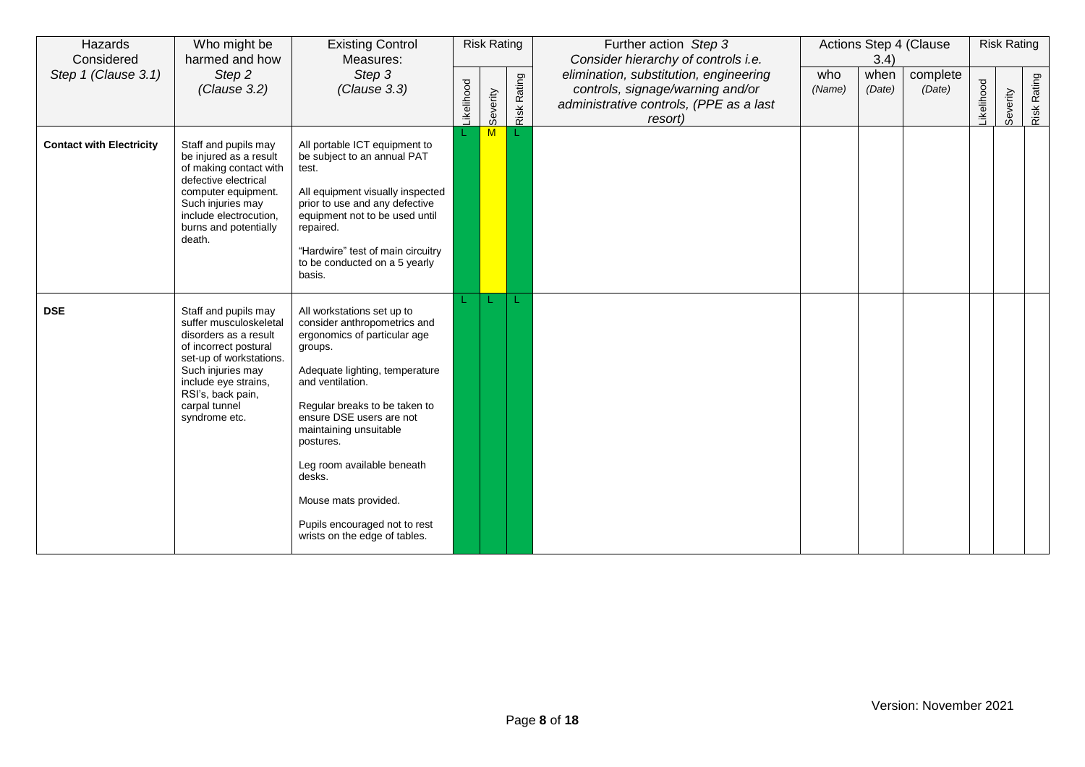| Hazards<br>Considered           | Who might be<br>harmed and how                                                                                                                                                                                                  | <b>Existing Control</b><br>Measures:                                                                                                                                                                                                                                                                                                                                                              |                  | <b>Risk Rating</b> |             | Further action Step 3<br>Consider hierarchy of controls i.e.                                                                     |               | 3.4)           | Actions Step 4 (Clause |           | <b>Risk Rating</b> |             |
|---------------------------------|---------------------------------------------------------------------------------------------------------------------------------------------------------------------------------------------------------------------------------|---------------------------------------------------------------------------------------------------------------------------------------------------------------------------------------------------------------------------------------------------------------------------------------------------------------------------------------------------------------------------------------------------|------------------|--------------------|-------------|----------------------------------------------------------------------------------------------------------------------------------|---------------|----------------|------------------------|-----------|--------------------|-------------|
| Step 1 (Clause 3.1)             | Step 2<br>(Clause 3.2)                                                                                                                                                                                                          | Step 3<br>(Clause 3.3)                                                                                                                                                                                                                                                                                                                                                                            | <b>ikelihood</b> | Severity           | Risk Rating | elimination, substitution, engineering<br>controls, signage/warning and/or<br>administrative controls, (PPE as a last<br>resort) | who<br>(Name) | when<br>(Date) | complete<br>(Date)     | ikelihood | Severity           | Risk Rating |
| <b>Contact with Electricity</b> | Staff and pupils may<br>be injured as a result<br>of making contact with<br>defective electrical<br>computer equipment.<br>Such injuries may<br>include electrocution,<br>burns and potentially<br>death.                       | All portable ICT equipment to<br>be subject to an annual PAT<br>test.<br>All equipment visually inspected<br>prior to use and any defective<br>equipment not to be used until<br>repaired.<br>"Hardwire" test of main circuitry<br>to be conducted on a 5 yearly<br>basis.                                                                                                                        |                  | M                  |             |                                                                                                                                  |               |                |                        |           |                    |             |
| <b>DSE</b>                      | Staff and pupils may<br>suffer musculoskeletal<br>disorders as a result<br>of incorrect postural<br>set-up of workstations.<br>Such injuries may<br>include eye strains,<br>RSI's, back pain,<br>carpal tunnel<br>syndrome etc. | All workstations set up to<br>consider anthropometrics and<br>ergonomics of particular age<br>groups.<br>Adequate lighting, temperature<br>and ventilation.<br>Regular breaks to be taken to<br>ensure DSE users are not<br>maintaining unsuitable<br>postures.<br>Leg room available beneath<br>desks.<br>Mouse mats provided.<br>Pupils encouraged not to rest<br>wrists on the edge of tables. |                  |                    | L           |                                                                                                                                  |               |                |                        |           |                    |             |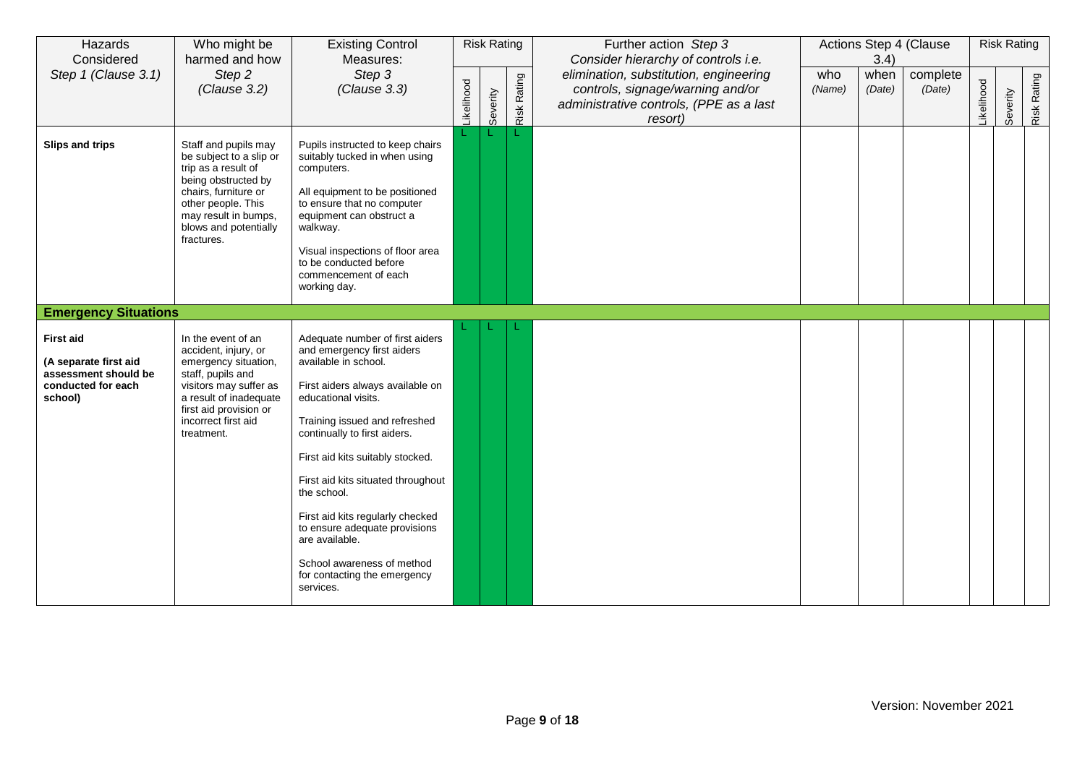| Hazards<br>Considered                                                                              | Who might be<br>harmed and how                                                                                                                                                                             | <b>Existing Control</b><br>Measures:                                                                                                                                                                                                                                                                                                                                                                                                                                         |            | <b>Risk Rating</b> |             | Further action Step 3<br>Consider hierarchy of controls i.e.                                                                     |               | 3.4)           | Actions Step 4 (Clause |           | <b>Risk Rating</b> |             |
|----------------------------------------------------------------------------------------------------|------------------------------------------------------------------------------------------------------------------------------------------------------------------------------------------------------------|------------------------------------------------------------------------------------------------------------------------------------------------------------------------------------------------------------------------------------------------------------------------------------------------------------------------------------------------------------------------------------------------------------------------------------------------------------------------------|------------|--------------------|-------------|----------------------------------------------------------------------------------------------------------------------------------|---------------|----------------|------------------------|-----------|--------------------|-------------|
| Step 1 (Clause 3.1)                                                                                | Step 2<br>(Clause 3.2)                                                                                                                                                                                     | Step 3<br>(Clause 3.3)                                                                                                                                                                                                                                                                                                                                                                                                                                                       | -ikelihood | Severity           | Risk Rating | elimination, substitution, engineering<br>controls, signage/warning and/or<br>administrative controls, (PPE as a last<br>resort) | who<br>(Name) | when<br>(Date) | complete<br>(Date)     | ikelihood | Severity           | Risk Rating |
| Slips and trips                                                                                    | Staff and pupils may<br>be subject to a slip or<br>trip as a result of<br>being obstructed by<br>chairs, furniture or<br>other people. This<br>may result in bumps,<br>blows and potentially<br>fractures. | Pupils instructed to keep chairs<br>suitably tucked in when using<br>computers.<br>All equipment to be positioned<br>to ensure that no computer<br>equipment can obstruct a<br>walkway.<br>Visual inspections of floor area<br>to be conducted before<br>commencement of each<br>working day.                                                                                                                                                                                |            |                    |             |                                                                                                                                  |               |                |                        |           |                    |             |
| <b>Emergency Situations</b>                                                                        |                                                                                                                                                                                                            |                                                                                                                                                                                                                                                                                                                                                                                                                                                                              |            |                    |             |                                                                                                                                  |               |                |                        |           |                    |             |
| <b>First aid</b><br>(A separate first aid<br>assessment should be<br>conducted for each<br>school) | In the event of an<br>accident, injury, or<br>emergency situation,<br>staff, pupils and<br>visitors may suffer as<br>a result of inadequate<br>first aid provision or<br>incorrect first aid<br>treatment. | Adequate number of first aiders<br>and emergency first aiders<br>available in school.<br>First aiders always available on<br>educational visits.<br>Training issued and refreshed<br>continually to first aiders.<br>First aid kits suitably stocked.<br>First aid kits situated throughout<br>the school.<br>First aid kits regularly checked<br>to ensure adequate provisions<br>are available.<br>School awareness of method<br>for contacting the emergency<br>services. |            |                    |             |                                                                                                                                  |               |                |                        |           |                    |             |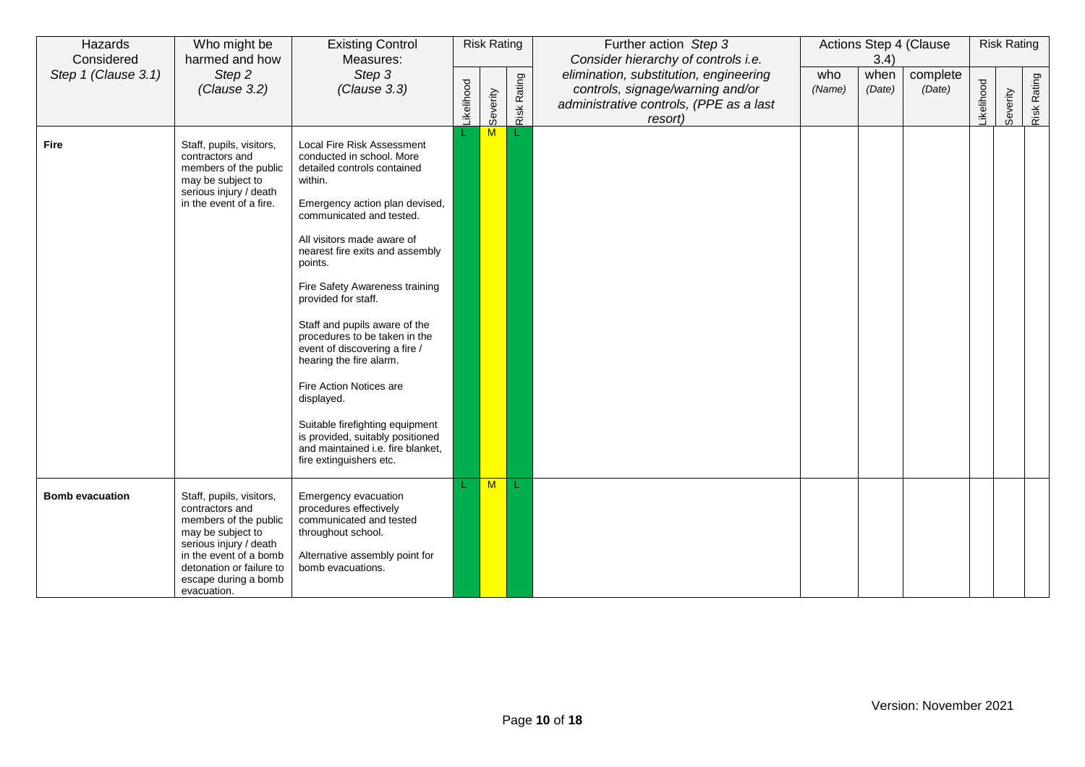| Hazards<br>Considered  | Who might be<br>harmed and how                                                                                                                                                                                   | <b>Existing Control</b><br>Measures:                                                                                                                                                                                                                                                                                                                                                                                                                                                                                                                                                                               |                  | <b>Risk Rating</b> |                    | Further action Step 3<br>Consider hierarchy of controls i.e.                                                                     |               | 3.4)           | Actions Step 4 (Clause |                  | <b>Risk Rating</b> |             |
|------------------------|------------------------------------------------------------------------------------------------------------------------------------------------------------------------------------------------------------------|--------------------------------------------------------------------------------------------------------------------------------------------------------------------------------------------------------------------------------------------------------------------------------------------------------------------------------------------------------------------------------------------------------------------------------------------------------------------------------------------------------------------------------------------------------------------------------------------------------------------|------------------|--------------------|--------------------|----------------------------------------------------------------------------------------------------------------------------------|---------------|----------------|------------------------|------------------|--------------------|-------------|
| Step 1 (Clause 3.1)    | Step 2<br>(Clause 3.2)                                                                                                                                                                                           | Step 3<br>(Clause 3.3)                                                                                                                                                                                                                                                                                                                                                                                                                                                                                                                                                                                             | <b>ikelihood</b> | Severity           | <b>Risk Rating</b> | elimination, substitution, engineering<br>controls, signage/warning and/or<br>administrative controls, (PPE as a last<br>resort) | who<br>(Name) | when<br>(Date) | complete<br>(Date)     | <b>ikelihood</b> | Severity           | Risk Rating |
| <b>Fire</b>            | Staff, pupils, visitors,<br>contractors and<br>members of the public<br>may be subject to<br>serious injury / death<br>in the event of a fire.                                                                   | Local Fire Risk Assessment<br>conducted in school. More<br>detailed controls contained<br>within.<br>Emergency action plan devised,<br>communicated and tested.<br>All visitors made aware of<br>nearest fire exits and assembly<br>points.<br>Fire Safety Awareness training<br>provided for staff.<br>Staff and pupils aware of the<br>procedures to be taken in the<br>event of discovering a fire /<br>hearing the fire alarm.<br>Fire Action Notices are<br>displayed.<br>Suitable firefighting equipment<br>is provided, suitably positioned<br>and maintained i.e. fire blanket,<br>fire extinguishers etc. |                  | M                  |                    |                                                                                                                                  |               |                |                        |                  |                    |             |
| <b>Bomb evacuation</b> | Staff, pupils, visitors,<br>contractors and<br>members of the public<br>may be subject to<br>serious injury / death<br>in the event of a bomb<br>detonation or failure to<br>escape during a bomb<br>evacuation. | Emergency evacuation<br>procedures effectively<br>communicated and tested<br>throughout school.<br>Alternative assembly point for<br>bomb evacuations.                                                                                                                                                                                                                                                                                                                                                                                                                                                             |                  | M                  | L                  |                                                                                                                                  |               |                |                        |                  |                    |             |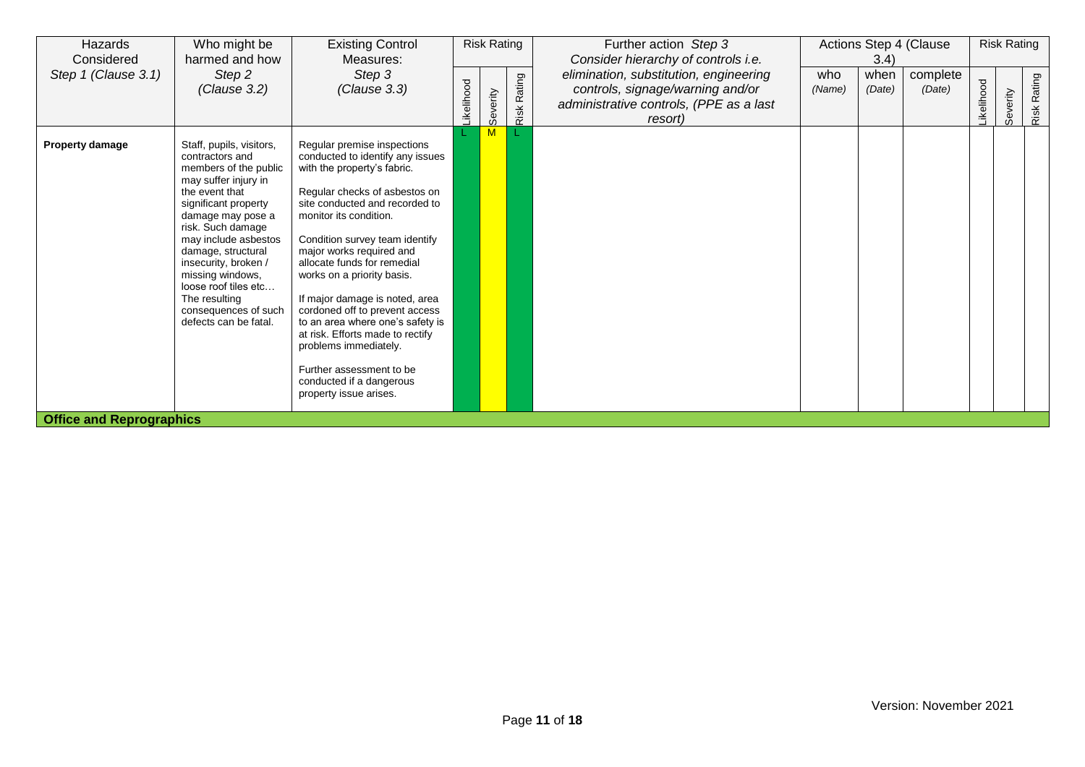| Hazards<br>Considered           | Who might be<br>harmed and how                                                                                                                                                                                                                                                                                                                                       | <b>Existing Control</b><br>Measures:                                                                                                                                                                                                                                                                                                                                                                                                                                                                                                                                          |                  | <b>Risk Rating</b> |                | Further action Step 3<br>Consider hierarchy of controls i.e.                                                                     |               | 3.4)           | Actions Step 4 (Clause |                  | <b>Risk Rating</b> |             |
|---------------------------------|----------------------------------------------------------------------------------------------------------------------------------------------------------------------------------------------------------------------------------------------------------------------------------------------------------------------------------------------------------------------|-------------------------------------------------------------------------------------------------------------------------------------------------------------------------------------------------------------------------------------------------------------------------------------------------------------------------------------------------------------------------------------------------------------------------------------------------------------------------------------------------------------------------------------------------------------------------------|------------------|--------------------|----------------|----------------------------------------------------------------------------------------------------------------------------------|---------------|----------------|------------------------|------------------|--------------------|-------------|
| Step 1 (Clause 3.1)             | Step 2<br>(Clause 3.2)                                                                                                                                                                                                                                                                                                                                               | Step 3<br>(Clause 3.3)                                                                                                                                                                                                                                                                                                                                                                                                                                                                                                                                                        | <b>ikelihood</b> | Severity           | Rating<br>Risk | elimination, substitution, engineering<br>controls, signage/warning and/or<br>administrative controls, (PPE as a last<br>resort) | who<br>(Name) | when<br>(Date) | complete<br>(Date)     | <b>ikelihood</b> | Severity           | Risk Rating |
| <b>Property damage</b>          | Staff, pupils, visitors,<br>contractors and<br>members of the public<br>may suffer injury in<br>the event that<br>significant property<br>damage may pose a<br>risk. Such damage<br>may include asbestos<br>damage, structural<br>insecurity, broken /<br>missing windows,<br>loose roof tiles etc<br>The resulting<br>consequences of such<br>defects can be fatal. | Regular premise inspections<br>conducted to identify any issues<br>with the property's fabric.<br>Regular checks of asbestos on<br>site conducted and recorded to<br>monitor its condition.<br>Condition survey team identify<br>major works required and<br>allocate funds for remedial<br>works on a priority basis.<br>If major damage is noted, area<br>cordoned off to prevent access<br>to an area where one's safety is<br>at risk. Efforts made to rectify<br>problems immediately.<br>Further assessment to be<br>conducted if a dangerous<br>property issue arises. |                  |                    |                |                                                                                                                                  |               |                |                        |                  |                    |             |
| <b>Office and Reprographics</b> |                                                                                                                                                                                                                                                                                                                                                                      |                                                                                                                                                                                                                                                                                                                                                                                                                                                                                                                                                                               |                  |                    |                |                                                                                                                                  |               |                |                        |                  |                    |             |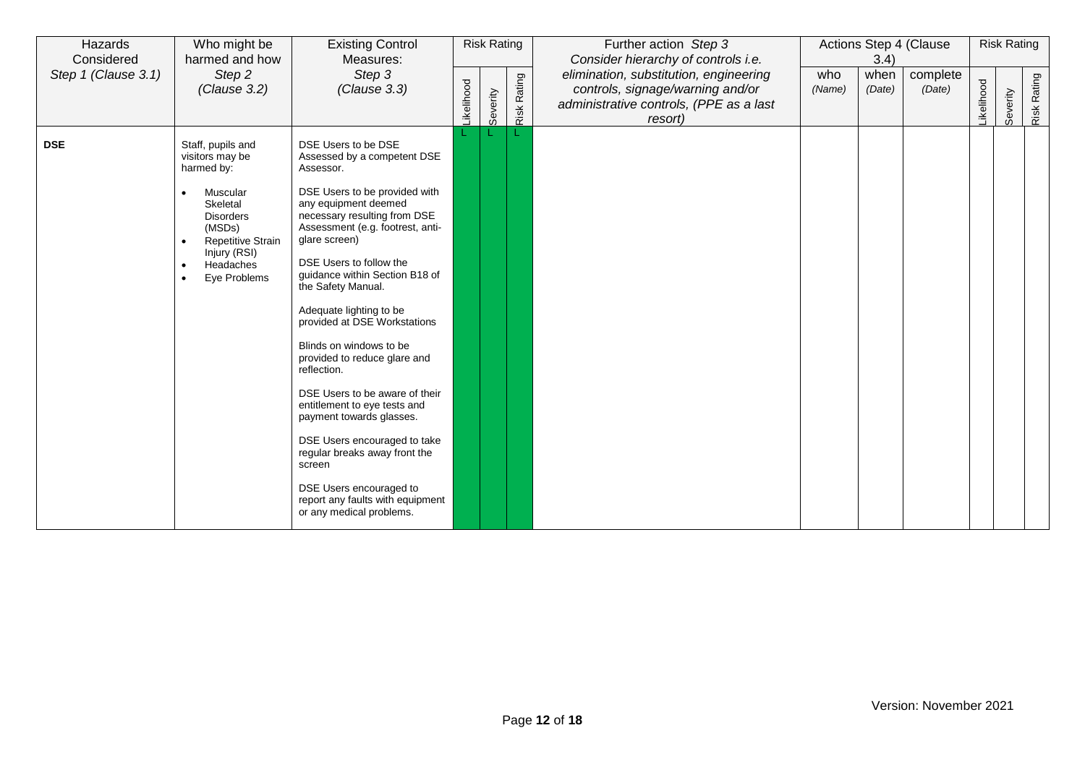| Hazards<br>Considered | Who might be<br>harmed and how                                                                                                                                                                                           | <b>Existing Control</b><br>Measures:                                                                                                                                                                                                                                                                                                                                                                                                                                                                                                                                                                           |                  | <b>Risk Rating</b> |                    | Further action Step 3<br>Consider hierarchy of controls i.e.                                                                     |               | 3.4)           | Actions Step 4 (Clause |           | <b>Risk Rating</b> |             |
|-----------------------|--------------------------------------------------------------------------------------------------------------------------------------------------------------------------------------------------------------------------|----------------------------------------------------------------------------------------------------------------------------------------------------------------------------------------------------------------------------------------------------------------------------------------------------------------------------------------------------------------------------------------------------------------------------------------------------------------------------------------------------------------------------------------------------------------------------------------------------------------|------------------|--------------------|--------------------|----------------------------------------------------------------------------------------------------------------------------------|---------------|----------------|------------------------|-----------|--------------------|-------------|
| Step 1 (Clause 3.1)   | Step 2<br>(Clause 3.2)                                                                                                                                                                                                   | Step 3<br>(Clause 3.3)                                                                                                                                                                                                                                                                                                                                                                                                                                                                                                                                                                                         | <b>ikelihood</b> | Severity           | <b>Risk Rating</b> | elimination, substitution, engineering<br>controls, signage/warning and/or<br>administrative controls, (PPE as a last<br>resort) | who<br>(Name) | when<br>(Date) | complete<br>(Date)     | ikelihood | Severity           | Risk Rating |
| <b>DSE</b>            | Staff, pupils and<br>visitors may be<br>harmed by:<br>Muscular<br>Skeletal<br><b>Disorders</b><br>(MSDs)<br><b>Repetitive Strain</b><br>$\bullet$<br>Injury (RSI)<br>Headaches<br>$\bullet$<br>Eye Problems<br>$\bullet$ | DSE Users to be DSE<br>Assessed by a competent DSE<br>Assessor.<br>DSE Users to be provided with<br>any equipment deemed<br>necessary resulting from DSE<br>Assessment (e.g. footrest, anti-<br>glare screen)<br>DSE Users to follow the<br>guidance within Section B18 of<br>the Safety Manual.<br>Adequate lighting to be<br>provided at DSE Workstations<br>Blinds on windows to be<br>provided to reduce glare and<br>reflection.<br>DSE Users to be aware of their<br>entitlement to eye tests and<br>payment towards glasses.<br>DSE Users encouraged to take<br>regular breaks away front the<br>screen |                  |                    |                    |                                                                                                                                  |               |                |                        |           |                    |             |
|                       |                                                                                                                                                                                                                          | DSE Users encouraged to<br>report any faults with equipment<br>or any medical problems.                                                                                                                                                                                                                                                                                                                                                                                                                                                                                                                        |                  |                    |                    |                                                                                                                                  |               |                |                        |           |                    |             |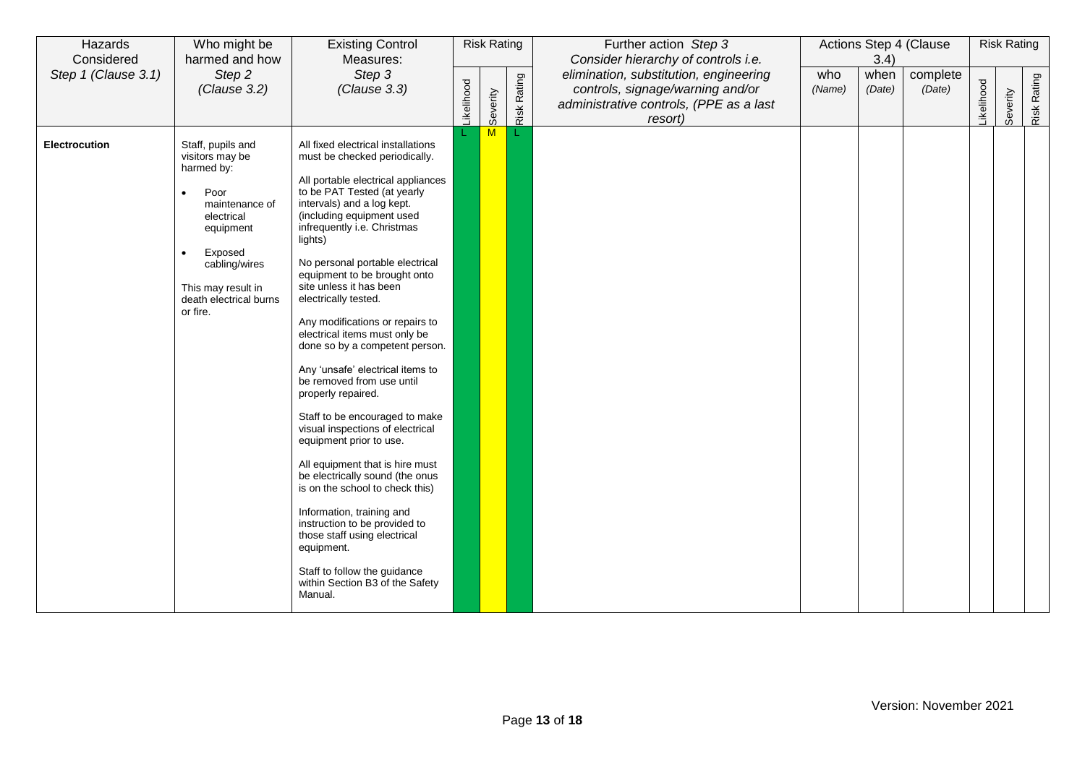| Hazards<br>Considered | Who might be<br>harmed and how                                                                                                                                                                               | <b>Existing Control</b><br>Measures:                                                                                                                                                                                                                                                                                                                                                                                                                                                                                                                                                                                                                                                                                                                                                                                                                                                                                                                                 | <b>Risk Rating</b> |              |             | Further action Step 3<br>Consider hierarchy of controls i.e.                                                                     | Actions Step 4 (Clause<br>3.4) |                |                    | <b>Risk Rating</b> |          |             |
|-----------------------|--------------------------------------------------------------------------------------------------------------------------------------------------------------------------------------------------------------|----------------------------------------------------------------------------------------------------------------------------------------------------------------------------------------------------------------------------------------------------------------------------------------------------------------------------------------------------------------------------------------------------------------------------------------------------------------------------------------------------------------------------------------------------------------------------------------------------------------------------------------------------------------------------------------------------------------------------------------------------------------------------------------------------------------------------------------------------------------------------------------------------------------------------------------------------------------------|--------------------|--------------|-------------|----------------------------------------------------------------------------------------------------------------------------------|--------------------------------|----------------|--------------------|--------------------|----------|-------------|
| Step 1 (Clause 3.1)   | Step 2<br>(Clause 3.2)                                                                                                                                                                                       | Step 3<br>(Clause 3.3)                                                                                                                                                                                                                                                                                                                                                                                                                                                                                                                                                                                                                                                                                                                                                                                                                                                                                                                                               | _ikelihood         | Severity     | Risk Rating | elimination, substitution, engineering<br>controls, signage/warning and/or<br>administrative controls, (PPE as a last<br>resort) | who<br>(Name)                  | when<br>(Date) | complete<br>(Date) | ikelihood          | Severity | Risk Rating |
| Electrocution         | Staff, pupils and<br>visitors may be<br>harmed by:<br>Poor<br>maintenance of<br>electrical<br>equipment<br>Exposed<br>$\bullet$<br>cabling/wires<br>This may result in<br>death electrical burns<br>or fire. | All fixed electrical installations<br>must be checked periodically.<br>All portable electrical appliances<br>to be PAT Tested (at yearly<br>intervals) and a log kept.<br>(including equipment used<br>infrequently i.e. Christmas<br>lights)<br>No personal portable electrical<br>equipment to be brought onto<br>site unless it has been<br>electrically tested.<br>Any modifications or repairs to<br>electrical items must only be<br>done so by a competent person.<br>Any 'unsafe' electrical items to<br>be removed from use until<br>properly repaired.<br>Staff to be encouraged to make<br>visual inspections of electrical<br>equipment prior to use.<br>All equipment that is hire must<br>be electrically sound (the onus<br>is on the school to check this)<br>Information, training and<br>instruction to be provided to<br>those staff using electrical<br>equipment.<br>Staff to follow the guidance<br>within Section B3 of the Safety<br>Manual. |                    | $\mathsf{M}$ |             |                                                                                                                                  |                                |                |                    |                    |          |             |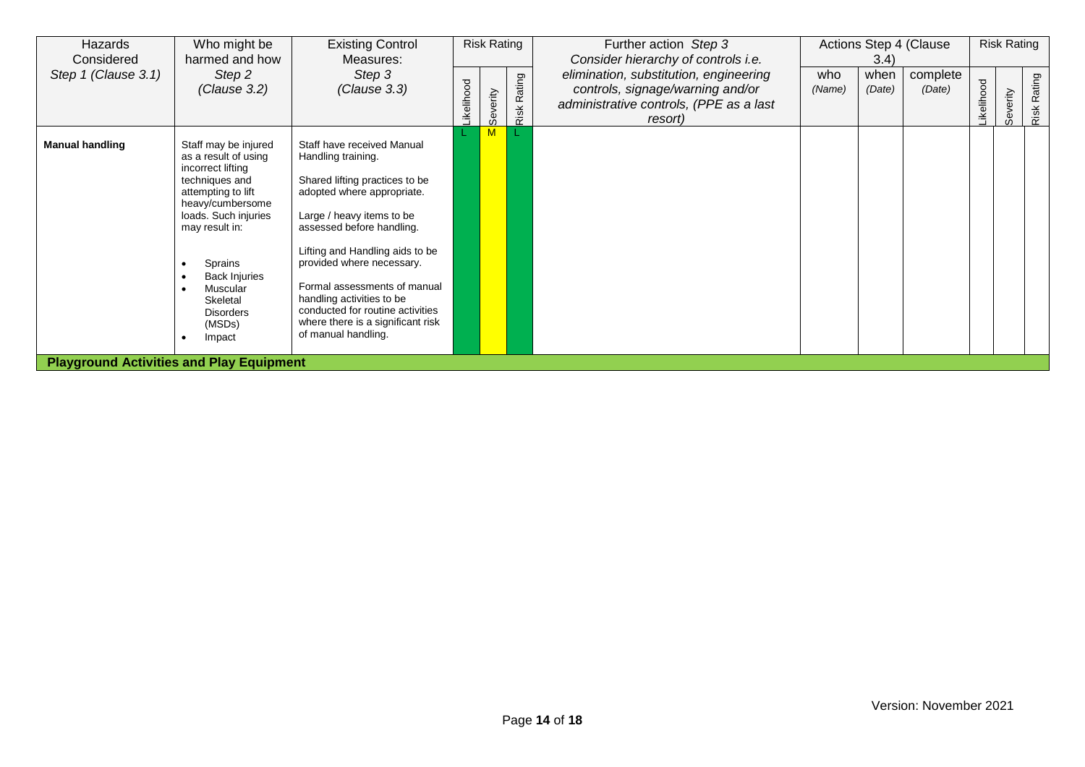| Hazards<br>Considered  | Who might be<br>harmed and how                                                                                                                                                                                                                                             | <b>Existing Control</b><br>Measures:                                                                                                                                                                                                                                                                                                                                                                    | <b>Risk Rating</b><br>Step 3<br>Rating<br>ikelihood<br>everity<br>Risk<br>$\omega$ |  |  | Further action Step 3<br>Consider hierarchy of controls i.e.                                                                     | Actions Step 4 (Clause<br>3.4 |                |                    | <b>Risk Rating</b> |         |             |
|------------------------|----------------------------------------------------------------------------------------------------------------------------------------------------------------------------------------------------------------------------------------------------------------------------|---------------------------------------------------------------------------------------------------------------------------------------------------------------------------------------------------------------------------------------------------------------------------------------------------------------------------------------------------------------------------------------------------------|------------------------------------------------------------------------------------|--|--|----------------------------------------------------------------------------------------------------------------------------------|-------------------------------|----------------|--------------------|--------------------|---------|-------------|
| Step 1 (Clause 3.1)    | Step 2<br>(Clause 3.2)                                                                                                                                                                                                                                                     | (Clause 3.3)                                                                                                                                                                                                                                                                                                                                                                                            |                                                                                    |  |  | elimination, substitution, engineering<br>controls, signage/warning and/or<br>administrative controls, (PPE as a last<br>resort) | who<br>(Name)                 | when<br>(Date) | complete<br>(Date) | elihood<br>⋰       | everity | Risk Rating |
| <b>Manual handling</b> | Staff may be injured<br>as a result of using<br>incorrect lifting<br>techniques and<br>attempting to lift<br>heavy/cumbersome<br>loads. Such injuries<br>may result in:<br>Sprains<br><b>Back Injuries</b><br>Muscular<br>Skeletal<br><b>Disorders</b><br>(MSDs)<br>Impact | Staff have received Manual<br>Handling training.<br>Shared lifting practices to be<br>adopted where appropriate.<br>Large / heavy items to be<br>assessed before handling.<br>Lifting and Handling aids to be<br>provided where necessary.<br>Formal assessments of manual<br>handling activities to be<br>conducted for routine activities<br>where there is a significant risk<br>of manual handling. |                                                                                    |  |  |                                                                                                                                  |                               |                |                    |                    |         |             |
|                        | <b>Playground Activities and Play Equipment</b>                                                                                                                                                                                                                            |                                                                                                                                                                                                                                                                                                                                                                                                         |                                                                                    |  |  |                                                                                                                                  |                               |                |                    |                    |         |             |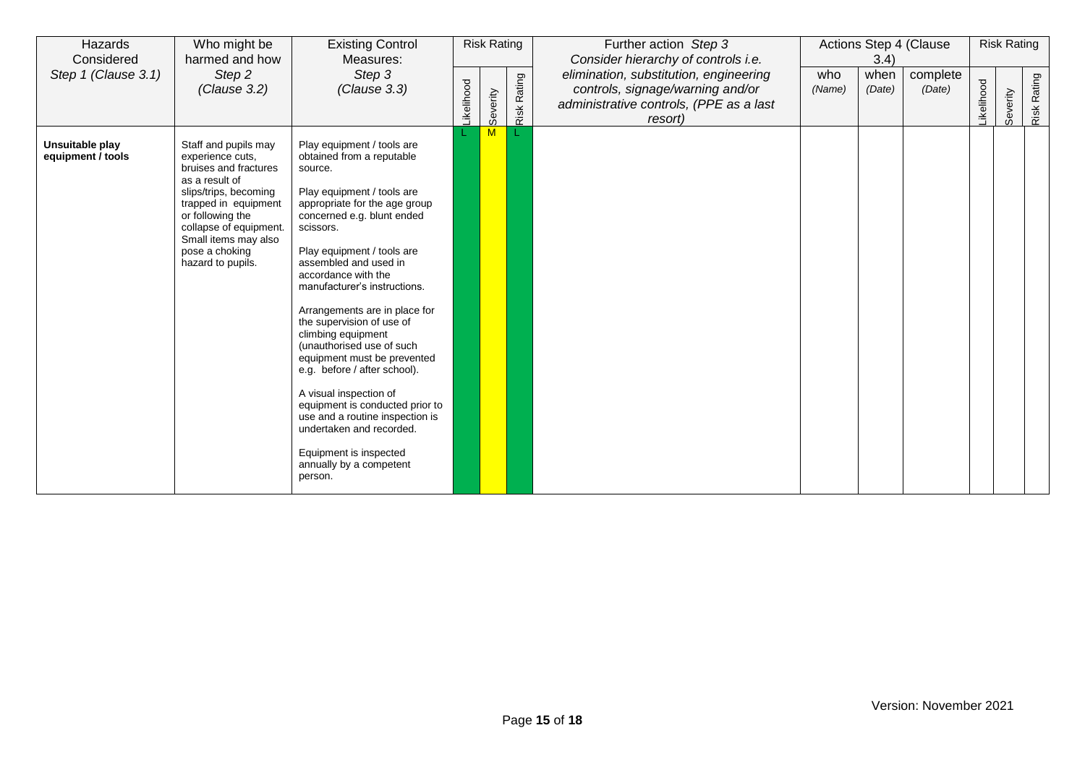| Hazards<br>Considered                | Who might be<br>harmed and how                                                                                                                                                                                                                    | <b>Existing Control</b><br>Measures:                                                                                                                                                                                                                                                                                                                                                                                                                                                                                                                                                                                                                                   | <b>Risk Rating</b> |          |             | Further action Step 3<br>Consider hierarchy of controls i.e.                                                                     | Actions Step 4 (Clause<br>3.4) |                |                    | <b>Risk Rating</b> |          |             |
|--------------------------------------|---------------------------------------------------------------------------------------------------------------------------------------------------------------------------------------------------------------------------------------------------|------------------------------------------------------------------------------------------------------------------------------------------------------------------------------------------------------------------------------------------------------------------------------------------------------------------------------------------------------------------------------------------------------------------------------------------------------------------------------------------------------------------------------------------------------------------------------------------------------------------------------------------------------------------------|--------------------|----------|-------------|----------------------------------------------------------------------------------------------------------------------------------|--------------------------------|----------------|--------------------|--------------------|----------|-------------|
| Step 1 (Clause 3.1)                  | Step 2<br>(Clause 3.2)                                                                                                                                                                                                                            | Step 3<br>(Clause 3.3)                                                                                                                                                                                                                                                                                                                                                                                                                                                                                                                                                                                                                                                 | ikelihood          | Severity | Risk Rating | elimination, substitution, engineering<br>controls, signage/warning and/or<br>administrative controls, (PPE as a last<br>resort) | who<br>(Name)                  | when<br>(Date) | complete<br>(Date) | ikelihood          | Severity | Risk Rating |
| Unsuitable play<br>equipment / tools | Staff and pupils may<br>experience cuts.<br>bruises and fractures<br>as a result of<br>slips/trips, becoming<br>trapped in equipment<br>or following the<br>collapse of equipment.<br>Small items may also<br>pose a choking<br>hazard to pupils. | Play equipment / tools are<br>obtained from a reputable<br>source.<br>Play equipment / tools are<br>appropriate for the age group<br>concerned e.g. blunt ended<br>scissors.<br>Play equipment / tools are<br>assembled and used in<br>accordance with the<br>manufacturer's instructions.<br>Arrangements are in place for<br>the supervision of use of<br>climbing equipment<br>(unauthorised use of such<br>equipment must be prevented<br>e.g. before / after school).<br>A visual inspection of<br>equipment is conducted prior to<br>use and a routine inspection is<br>undertaken and recorded.<br>Equipment is inspected<br>annually by a competent<br>person. |                    | M        |             |                                                                                                                                  |                                |                |                    |                    |          |             |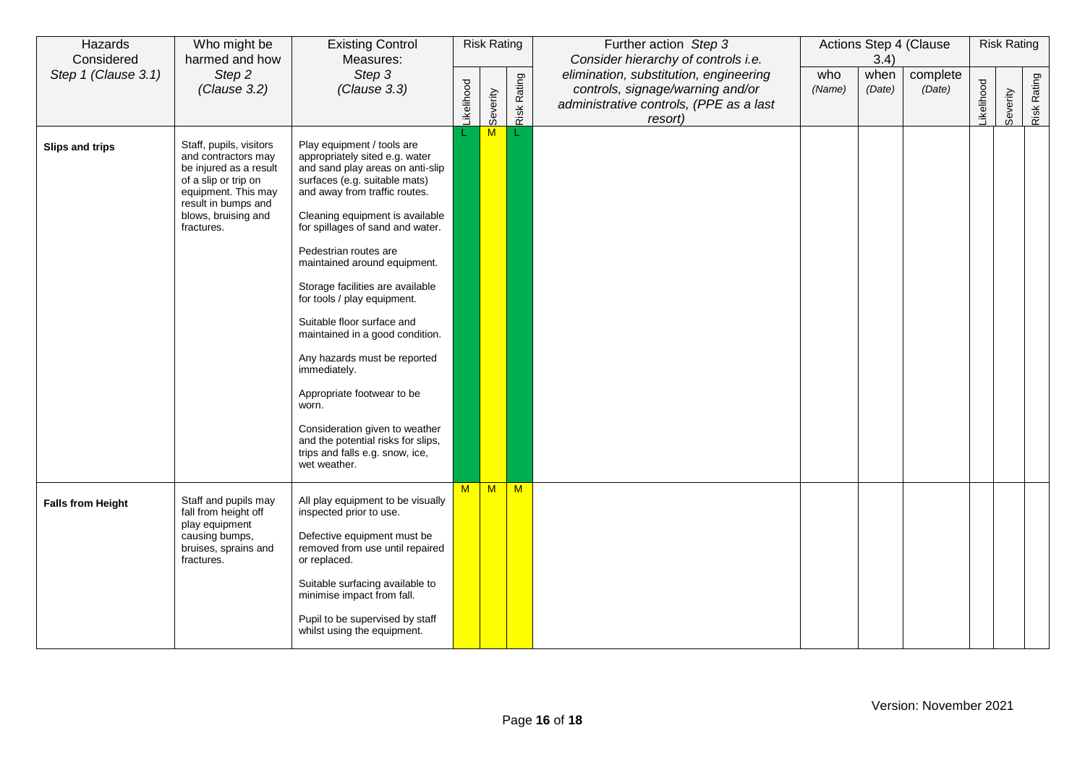| Hazards<br>Considered    | Who might be<br>harmed and how                                                                                                                                                      | <b>Existing Control</b><br>Measures:                                                                                                                                                                                                                                                                                                                                                                                                                                                                                                                                                                                                                     | <b>Risk Rating</b> |                                                                                                                                                                    |   | Further action Step 3<br>Consider hierarchy of controls i.e. | Actions Step 4 (Clause<br>3.4) |                    |                  | <b>Risk Rating</b> |             |  |  |
|--------------------------|-------------------------------------------------------------------------------------------------------------------------------------------------------------------------------------|----------------------------------------------------------------------------------------------------------------------------------------------------------------------------------------------------------------------------------------------------------------------------------------------------------------------------------------------------------------------------------------------------------------------------------------------------------------------------------------------------------------------------------------------------------------------------------------------------------------------------------------------------------|--------------------|--------------------------------------------------------------------------------------------------------------------------------------------------------------------|---|--------------------------------------------------------------|--------------------------------|--------------------|------------------|--------------------|-------------|--|--|
| Step 1 (Clause 3.1)      | Step 2<br>(Clause 3.2)                                                                                                                                                              | Step 3<br>(Clause 3.3)                                                                                                                                                                                                                                                                                                                                                                                                                                                                                                                                                                                                                                   | ikelihood          | elimination, substitution, engineering<br><b>Risk Rating</b><br>controls, signage/warning and/or<br>Severity<br>administrative controls, (PPE as a last<br>resort) |   | who<br>(Name)                                                | when<br>(Date)                 | complete<br>(Date) | <b>ikelihood</b> | Severity           | Risk Rating |  |  |
| Slips and trips          | Staff, pupils, visitors<br>and contractors may<br>be injured as a result<br>of a slip or trip on<br>equipment. This may<br>result in bumps and<br>blows, bruising and<br>fractures. | Play equipment / tools are<br>appropriately sited e.g. water<br>and sand play areas on anti-slip<br>surfaces (e.g. suitable mats)<br>and away from traffic routes.<br>Cleaning equipment is available<br>for spillages of sand and water.<br>Pedestrian routes are<br>maintained around equipment.<br>Storage facilities are available<br>for tools / play equipment.<br>Suitable floor surface and<br>maintained in a good condition.<br>Any hazards must be reported<br>immediately.<br>Appropriate footwear to be<br>worn.<br>Consideration given to weather<br>and the potential risks for slips,<br>trips and falls e.g. snow, ice,<br>wet weather. |                    | M                                                                                                                                                                  |   |                                                              |                                |                    |                  |                    |             |  |  |
| <b>Falls from Height</b> | Staff and pupils may<br>fall from height off<br>play equipment<br>causing bumps,<br>bruises, sprains and<br>fractures.                                                              | All play equipment to be visually<br>inspected prior to use.<br>Defective equipment must be<br>removed from use until repaired<br>or replaced.<br>Suitable surfacing available to<br>minimise impact from fall.<br>Pupil to be supervised by staff<br>whilst using the equipment.                                                                                                                                                                                                                                                                                                                                                                        | M                  | M                                                                                                                                                                  | M |                                                              |                                |                    |                  |                    |             |  |  |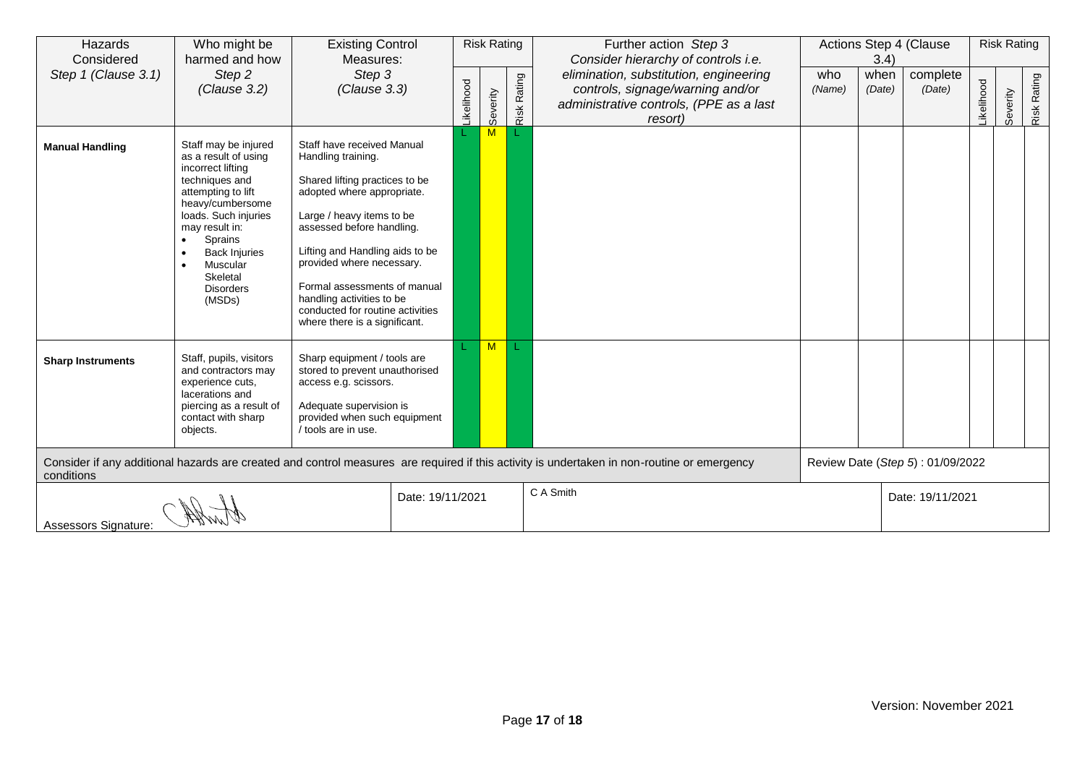| Hazards<br>Considered                                                                                                                                     | Who might be<br>harmed and how                                                                                                                                                                                                                                   |                                                                                                                                                                                                                                                                                                                                                                              | <b>Existing Control</b><br>Measures: |                  | <b>Risk Rating</b> |             | Further action Step 3<br>Consider hierarchy of controls i.e.                                                                     | Actions Step 4 (Clause<br>3.4) |                |                                  | <b>Risk Rating</b> |          |                    |
|-----------------------------------------------------------------------------------------------------------------------------------------------------------|------------------------------------------------------------------------------------------------------------------------------------------------------------------------------------------------------------------------------------------------------------------|------------------------------------------------------------------------------------------------------------------------------------------------------------------------------------------------------------------------------------------------------------------------------------------------------------------------------------------------------------------------------|--------------------------------------|------------------|--------------------|-------------|----------------------------------------------------------------------------------------------------------------------------------|--------------------------------|----------------|----------------------------------|--------------------|----------|--------------------|
| Step 1 (Clause 3.1)                                                                                                                                       | Step 2<br>(Clause 3.2)                                                                                                                                                                                                                                           | Step 3<br>(Clause 3.3)                                                                                                                                                                                                                                                                                                                                                       |                                      | <b>ikelihood</b> | Severity           | Risk Rating | elimination, substitution, engineering<br>controls, signage/warning and/or<br>administrative controls, (PPE as a last<br>resort) | who<br>(Name)                  | when<br>(Date) | complete<br>(Date)               | ikelihood          | Severity | <b>Risk Rating</b> |
| <b>Manual Handling</b>                                                                                                                                    | Staff may be injured<br>as a result of using<br>incorrect lifting<br>techniques and<br>attempting to lift<br>heavy/cumbersome<br>loads. Such injuries<br>may result in:<br>Sprains<br><b>Back Injuries</b><br>Muscular<br>Skeletal<br><b>Disorders</b><br>(MSDs) | Staff have received Manual<br>Handling training.<br>Shared lifting practices to be<br>adopted where appropriate.<br>Large / heavy items to be<br>assessed before handling.<br>Lifting and Handling aids to be<br>provided where necessary.<br>Formal assessments of manual<br>handling activities to be<br>conducted for routine activities<br>where there is a significant. |                                      |                  | M                  |             |                                                                                                                                  |                                |                |                                  |                    |          |                    |
| <b>Sharp Instruments</b>                                                                                                                                  | Staff, pupils, visitors<br>and contractors may<br>experience cuts,<br>lacerations and<br>piercing as a result of<br>contact with sharp<br>objects.                                                                                                               | Sharp equipment / tools are<br>stored to prevent unauthorised<br>access e.g. scissors.<br>Adequate supervision is<br>provided when such equipment<br>/ tools are in use.                                                                                                                                                                                                     |                                      |                  | M                  |             |                                                                                                                                  |                                |                |                                  |                    |          |                    |
| Consider if any additional hazards are created and control measures are required if this activity is undertaken in non-routine or emergency<br>conditions |                                                                                                                                                                                                                                                                  |                                                                                                                                                                                                                                                                                                                                                                              |                                      |                  |                    |             |                                                                                                                                  |                                |                | Review Date (Step 5): 01/09/2022 |                    |          |                    |
| Date: 19/11/2021<br>Assessors Signature:                                                                                                                  |                                                                                                                                                                                                                                                                  |                                                                                                                                                                                                                                                                                                                                                                              |                                      |                  |                    |             | C A Smith                                                                                                                        |                                |                | Date: 19/11/2021                 |                    |          |                    |